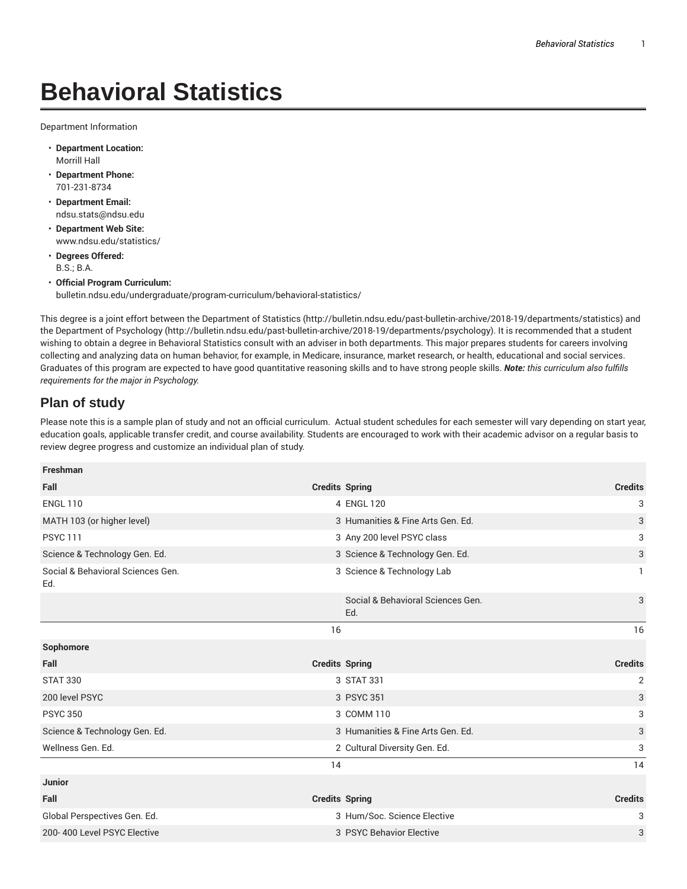## **Behavioral Statistics**

Department Information

- **Department Location:** Morrill Hall
- **Department Phone:** 701-231-8734
- **Department Email:** ndsu.stats@ndsu.edu
- **Department Web Site:** www.ndsu.edu/statistics/
- **Degrees Offered:** B.S.; B.A.
- **Official Program Curriculum:** bulletin.ndsu.edu/undergraduate/program-curriculum/behavioral-statistics/

This degree is a joint effort between the Department of Statistics (http://bulletin.ndsu.edu/past-bulletin-archive/2018-19/departments/statistics) and the Department of Psychology (http://bulletin.ndsu.edu/past-bulletin-archive/2018-19/departments/psychology). It is recommended that a student wishing to obtain a degree in Behavioral Statistics consult with an adviser in both departments. This major prepares students for careers involving collecting and analyzing data on human behavior, for example, in Medicare, insurance, market research, or health, educational and social services. Graduates of this program are expected to have good quantitative reasoning skills and to have strong people skills. *Note: this curriculum also fulfills requirements for the major in Psychology.*

## **Plan of study**

Please note this is a sample plan of study and not an official curriculum. Actual student schedules for each semester will vary depending on start year, education goals, applicable transfer credit, and course availability. Students are encouraged to work with their academic advisor on a regular basis to review degree progress and customize an individual plan of study.

| <b>Freshman</b>                          |                                          |                |
|------------------------------------------|------------------------------------------|----------------|
| Fall                                     | <b>Credits Spring</b>                    | <b>Credits</b> |
| <b>ENGL 110</b>                          | 4 ENGL 120                               | 3              |
| MATH 103 (or higher level)               | 3 Humanities & Fine Arts Gen. Ed.        | 3              |
| <b>PSYC 111</b>                          | 3 Any 200 level PSYC class               | 3              |
| Science & Technology Gen. Ed.            | 3 Science & Technology Gen. Ed.          | 3              |
| Social & Behavioral Sciences Gen.<br>Ed. | 3 Science & Technology Lab               | 1              |
|                                          | Social & Behavioral Sciences Gen.<br>Ed. | 3              |
|                                          | 16                                       | 16             |
|                                          |                                          |                |
| Sophomore                                |                                          |                |
| Fall                                     | <b>Credits Spring</b>                    | <b>Credits</b> |
| <b>STAT 330</b>                          | 3 STAT 331                               | 2              |
| 200 level PSYC                           | 3 PSYC 351                               | 3              |
| <b>PSYC 350</b>                          | 3 COMM 110                               | 3              |
| Science & Technology Gen. Ed.            | 3 Humanities & Fine Arts Gen. Ed.        | 3              |
| Wellness Gen. Ed.                        | 2 Cultural Diversity Gen. Ed.            | 3              |
|                                          | 14                                       | 14             |
| <b>Junior</b>                            |                                          |                |
| Fall                                     | <b>Credits Spring</b>                    | <b>Credits</b> |
| Global Perspectives Gen. Ed.             | 3 Hum/Soc. Science Elective              | 3              |